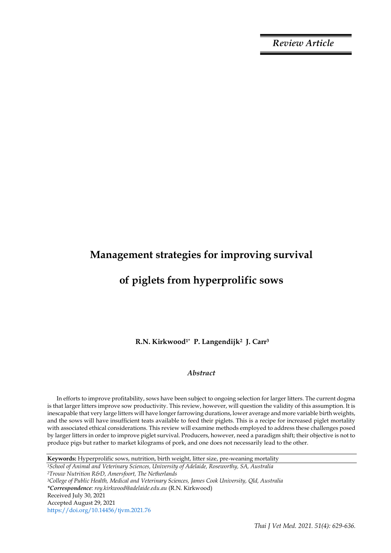*Review Article*

# **Management strategies for improving survival**

# **of piglets from hyperprolific sows**

**R.N. Kirkwood1\* P. Langendijk2 J. Carr<sup>3</sup>**

# *Abstract*

In efforts to improve profitability, sows have been subject to ongoing selection for larger litters. The current dogma is that larger litters improve sow productivity. This review, however, will question the validity of this assumption. It is inescapable that very large litters will have longer farrowing durations, lower average and more variable birth weights, and the sows will have insufficient teats available to feed their piglets. This is a recipe for increased piglet mortality with associated ethical considerations. This review will examine methods employed to address these challenges posed by larger litters in order to improve piglet survival. Producers, however, need a paradigm shift; their objective is not to produce pigs but rather to market kilograms of pork, and one does not necessarily lead to the other.

**Keywords:** Hyperprolific sows, nutrition, birth weight, litter size, pre-weaning mortality

*<sup>1</sup>School of Animal and Veterinary Sciences, University of Adelaide, Roseworthy, SA, Australia <sup>2</sup>Trouw Nutrition R&D, Amersfoort, The Netherlands*

*<sup>3</sup>College of Public Health, Medical and Veterinary Sciences, James Cook University, Qld, Australia \*Correspondence: roy.kirkwood@adelaide.edu.au* (R.N. Kirkwood) Received July 30, 2021 Accepted August 29, 2021 https://doi.org/10.14456/tjvm.2021.76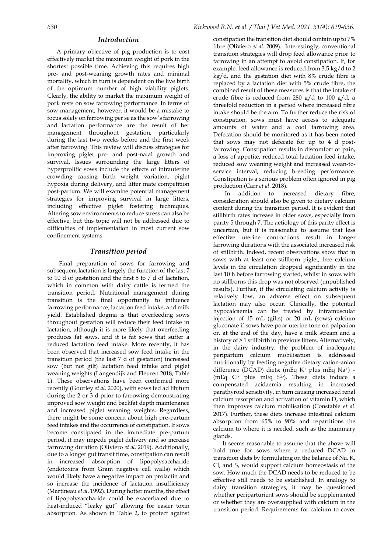### *Introduction*

A primary objective of pig production is to cost effectively market the maximum weight of pork in the shortest possible time. Achieving this requires high pre- and post-weaning growth rates and minimal mortality, which in turn is dependent on the live birth of the optimum number of high viability piglets. Clearly, the ability to market the maximum weight of pork rests on sow farrowing performance. In terms of sow management, however, it would be a mistake to focus solely on farrowing per se as the sow's farrowing and lactation performance are the result of her management throughout gestation, particularly during the last two weeks before and the first week after farrowing. This review will discuss strategies for improving piglet pre- and post-natal growth and survival. Issues surrounding the large litters of hyperprolific sows include the effects of intrauterine crowding causing birth weight variation, piglet hypoxia during delivery, and litter mate competition post-partum. We will examine potential management strategies for improving survival in large litters, including effective piglet fostering techniques. Altering sow environments to reduce stress can also be effective, but this topic will not be addressed due to difficulties of implementation in most current sow confinement systems.

# *Transition period*

Final preparation of sows for farrowing and subsequent lactation is largely the function of the last 7 to 10 d of gestation and the first 5 to 7 d of lactation, which in common with dairy cattle is termed the transition period. Nutritional management during transition is the final opportunity to influence farrowing performance, lactation feed intake, and milk yield. Established dogma is that overfeeding sows throughout gestation will reduce their feed intake in lactation, although it is more likely that overfeeding produces fat sows, and it is fat sows that suffer a reduced lactation feed intake. More recently, it has been observed that increased sow feed intake in the transition period (the last 7 d of gestation) increased sow (but not gilt) lactation feed intake and piglet weaning weights (Langendijk and Fleuren 2018; Table 1). These observations have been confirmed more recently (Gourley *et al*. 2020), with sows fed ad libitum during the 2 or 3 d prior to farrowing demonstrating improved sow weight and backfat depth maintenance and increased piglet weaning weights. Regardless, there might be some concern about high pre-partum feed intakes and the occurrence of constipation. If sows become constipated in the immediate pre-partum period, it may impede piglet delivery and so increase farrowing duration (Oliviero *et al*. 2019). Additionally, due to a longer gut transit time, constipation can result in increased absorption of lipopolysaccharide (endotoxins from Gram negative cell walls) which would likely have a negative impact on prolactin and so increase the incidence of lactation insufficiency (Martineau *et al*. 1992). During hotter months, the effect of lipopolysaccharide could be exacerbated due to heat-induced "leaky gut" allowing for easier toxin absorption. As shown in Table 2, to protect against constipation the transition diet should contain up to 7% fibre (Oliviero *et al*. 2009). Interestingly, conventional transition strategies will drop feed allowance prior to farrowing in an attempt to avoid constipation. If, for example, feed allowance is reduced from 3.5 kg/d to 2 kg/d, and the gestation diet with 8% crude fibre is replaced by a lactation diet with 5% crude fibre, the combined result of these measures is that the intake of crude fibre is reduced from 280  $g/d$  to 100  $g/d$ , a threefold reduction in a period where increased fibre intake should be the aim. To further reduce the risk of constipation, sows must have access to adequate amounts of water and a cool farrowing area. Defecation should be monitored as it has been noted that sows may not defecate for up to 4 d postfarrowing. Constipation results in discomfort or pain, a loss of appetite, reduced total lactation feed intake, reduced sow weaning weight and increased wean-toservice interval, reducing breeding performance. Constipation is a serious problem often ignored in pig production (Carr *et al*. 2018).

In addition to increased dietary fibre, consideration should also be given to dietary calcium content during the transition period. It is evident that stillbirth rates increase in older sows, especially from parity 5 through 7. The aetiology of this parity effect is uncertain, but it is reasonable to assume that less effective uterine contractions result in longer farrowing durations with the associated increased risk of stillbirth. Indeed, recent observations show that in sows with at least one stillborn piglet, free calcium levels in the circulation dropped significantly in the last 10 h before farrowing started, whilst in sows with no stillborns this drop was not observed (unpublished results). Further, if the circulating calcium activity is relatively low, an adverse effect on subsequent lactation may also occur. Clinically, the potential hypocalcaemia can be treated by intramuscular injection of 15 mL (gilts) or 20 mL (sows) calcium gluconate if sows have poor uterine tone on palpation or, at the end of the day, have a milk stream and a history of > 1 stillbirth in previous litters. Alternatively, in the dairy industry, the problem of inadequate peripartum calcium mobilisation is addressed nutritionally by feeding negative dietary cation-anion difference (DCAD) diets; (mEq K<sup>+</sup> plus mEq Na+) – (mEq Cl- plus mEq S2-). These diets induce a compensated acidaemia resulting in increased parathyroid sensitivity, in turn causing increased renal calcium resorption and activation of vitamin D, which then improves calcium mobilisation (Constable *et al*. 2017). Further, these diets increase intestinal calcium absorption from 65% to 90% and repartitions the calcium to where it is needed, such as the mammary glands.

It seems reasonable to assume that the above will hold true for sows where a reduced DCAD in transition diets by formulating on the balance of Na, K, Cl, and S, would support calcium homeostasis of the sow. How much the DCAD needs to be reduced to be effective still needs to be established. In analogy to dairy transition strategies, it may be questioned whether periparturient sows should be supplemented or whether they are oversupplied with calcium in the transition period. Requirements for calcium to cover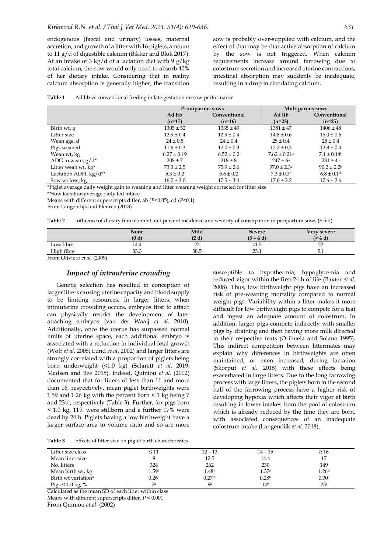endogenous (faecal and urinary) losses, maternal accretion, and growth of a litter with 16 piglets, amount to 11 g/d of digestible calcium (Bikker and Blok 2017). At an intake of 3 kg/d of a lactation diet with 9 g/kg total calcium, the sow would only need to absorb 40% of her dietary intake. Considering that in reality calcium absorption is generally higher, the transition sow is probably over-supplied with calcium, and the effect of that may be that active absorption of calcium by the sow is not triggered. When calcium requirements increase around farrowing due to colostrum secretion and increased uterine contractions, intestinal absorption may suddenly be inadequate, resulting in a drop in circulating calcium.

| Ad lib vs conventional feeding in late gestation on sow performance |
|---------------------------------------------------------------------|
|---------------------------------------------------------------------|

|                        | Primiparous sows   |                          | <b>Multiparous sows</b>      |                             |
|------------------------|--------------------|--------------------------|------------------------------|-----------------------------|
|                        | Ad lib<br>$(n=17)$ | Conventional<br>$(n=16)$ | Ad lib<br>$(n=23)$           | Conventional<br>$(n=25)$    |
| Birth wt, g            | $1305 \pm 52$      | $1335 \pm 49$            | $1381 \pm 47$                | $1406 \pm 48$               |
| Litter size            | $12.9 \pm 0.4$     | $12.9 \pm 0.4$           | $14.8 \pm 0.6$               | $15.0 \pm 0.6$              |
| Wean age, d            | $24 \pm 0.5$       | $24 \pm 0.4$             | $25 \pm 0.4$                 | $25 \pm 0.4$                |
| Pigs weaned            | $11.6 \pm 0.3$     | $12.0 \pm 0.3$           | $12.7 \pm 0.3$               | $12.8 \pm 0.4$              |
| Wean wt, kg            | $6.27 \pm 0.19$    | $6.52 \pm 0.2$           | $7.62 \pm 0.21$ <sup>a</sup> | $7.1 \pm 0.14$ <sup>b</sup> |
| ADG to wean, $g/d^*$   | $208 \pm 7$        | $218 \pm 8$              | $247 \pm 6^{\circ}$          | $231 \pm 4^{\rm b}$         |
| Litter wean wt, kg*    | $73.3 \pm 2.5$     | $75.9 \pm 2.6$           | $97.0 \pm 2.3^{\text{a}}$    | $90.2 \pm 2.2^b$            |
| Lactation ADFI, kg/d** | $5.3 \pm 0.2$      | $5.6 \pm 0.2$            | $7.3 \pm 0.3$ c              | $6.8 \pm 0.1$ <sup>d</sup>  |
| Sow wt loss, kg        | $16.7 \pm 3.0$     | $17.5 \pm 3.4$           | $17.6 \pm 3.2$               | $17.6 \pm 2.6$              |

\*Piglet average daily weight gain to weaning and litter weaning weight corrected for litter size

\*\*Sow lactation average daily fed intake

Means with different superscripts differ, ab (*P*<0.05), cd (*P*<0.1)

From Langendijk and Fleuren (2018)

**Table 2** Influence of dietary fibre content and percent incidence and severity of constipation in peripartum sows (± 5 d)

|            | <b>None</b><br>(0 d) | Mild<br>(2 <sub>d</sub> ) | <b>Severe</b><br>ა –       | Very severe<br>(> 4 d) |
|------------|----------------------|---------------------------|----------------------------|------------------------|
| Low fibre  | 14.4                 | $\sim$<br><u>__</u>       | 41.5                       | $\sim$<br><u>_</u>     |
| High fibre | 33.3                 | 38.5                      | $\sim$ $\sim$<br>$\sim$ .1 | 5.1                    |

From Oliviero *et al*. (2009)

# *Impact of intrauterine crowding*

Genetic selection has resulted in conception of larger litters causing uterine capacity and blood supply to be limiting resources. In larger litters, when intrauterine crowding occurs, embryos first to attach can physically restrict the development of later attaching embryos (van der Waaij *et al*. 2010). Additionally, once the uterus has surpassed normal limits of uterine space, each additional embryo is associated with a reduction in individual fetal growth (Wolf *et al*. 2008; Lund *et al*. 2002) and larger litters are strongly correlated with a proportion of piglets being born underweight (<1.0 kg) (Schmitt *et al*. 2019; Madsen and Bee 2015). Indeed, Quiniou *et al*. (2002) documented that for litters of less than 11 and more than 16, respectively, mean piglet birthweights were 1.59 and 1.26 kg with the percent born < 1 kg being 7 and 23%, respectively (Table 3). Further, for pigs born < 1.0 kg, 11% were stillborn and a further 17% were dead by 24 h. Piglets having a low birthweight have a larger surface area to volume ratio and so are more

susceptible to hypothermia, hypoglycemia and reduced vigor within the first 24 h of life (Baxter *et al*. 2008). Thus, low birthweight pigs have an increased risk of pre-weaning mortality compared to normal weight pigs. Variability within a litter makes it more difficult for low birthweight pigs to compete for a teat and ingest an adequate amount of colostrum. In addition, larger pigs compete indirectly with smaller pigs by draining and then having more milk directed to their respective teats (Orihuela and Solano 1995). This indirect competition between littermates may explain why differences in birthweights are often maintained, or even increased, during lactation (Skorput *et al*. 2018) with these effects being exacerbated in large litters. Due to the long farrowing process with large litters, the piglets born in the second half of the farrowing process have a higher risk of developing hypoxia which affects their vigor at birth resulting in lower intakes from the pool of colostrum which is already reduced by the time they are born, with associated consequences of an inadequate colostrum intake (Langendijk *et al*. 2018).

**Table 3** Effects of litter size on piglet birth characteristics

| Litter size class   | $\leq 11$         | $12 - 13$            | $14 - 15$         | $\geq 16$         |
|---------------------|-------------------|----------------------|-------------------|-------------------|
| Mean litter size    |                   | 12.5                 | 14.4              | 17                |
| No. litters         | 324               | 262                  | 230               | 149               |
| Mean birth wt, kg   | 1.59a             | 1.48 <sup>b</sup>    | 1.37c             | 1.26 <sup>d</sup> |
| Birth wt variation* | 0.26 <sup>a</sup> | $0.27$ <sup>ab</sup> | 0.28 <sup>b</sup> | 0.30c             |
| Pigs $< 1.0$ kg, %  | 7a                | Qa                   | 14 <sup>b</sup>   | 23 <sup>c</sup>   |

Calculated as the mean SD of each litter within class

Means with different superscripts differ, *P* < 0.001

From Quiniou *et al*. (2002)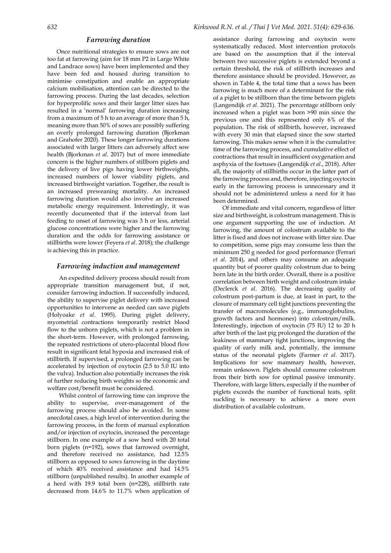#### *Farrowing duration*

Once nutritional strategies to ensure sows are not too fat at farrowing (aim for 18 mm P2 in Large White and Landrace sows) have been implemented and they have been fed and housed during transition to minimise constipation and enable an appropriate calcium mobilisation, attention can be directed to the farrowing process. During the last decades, selection for hyperprolific sows and their larger litter sizes has resulted in a 'normal' farrowing duration increasing from a maximum of 5 h to an average of more than 5 h, meaning more than 50% of sows are possibly suffering an overly prolonged farrowing duration (Bjorkman and Grahofer 2020). These longer farrowing durations associated with larger litters can adversely affect sow health (Bjorkman *et al*. 2017) but of more immediate concern is the higher numbers of stillborn piglets and the delivery of live pigs having lower birthweights, increased numbers of lower viability piglets, and increased birthweight variation. Together, the result is an increased preweaning mortality. An increased farrowing duration would also involve an increased metabolic energy requirement. Interestingly, it was recently documented that if the interval from last feeding to onset of farrowing was 3 h or less, arterial glucose concentrations were higher and the farrowing duration and the odds for farrowing assistance or stillbirths were lower (Feyera *et al*. 2018); the challenge is achieving this in practice.

# *Farrowing induction and management*

An expedited delivery process should result from appropriate transition management but, if not, consider farrowing induction. If successfully induced, the ability to supervise piglet delivery with increased opportunities to intervene as needed can save piglets (Holyoake *et al*. 1995). During piglet delivery, myometrial contractions temporarily restrict blood flow to the unborn piglets, which is not a problem in the short-term. However, with prolonged farrowing, the repeated restrictions of utero-placental blood flow result in significant fetal hypoxia and increased risk of stillbirth. If supervised, a prolonged farrowing can be accelerated by injection of oxytocin (2.5 to 5.0 IU into the vulva). Induction also potentially increases the risk of further reducing birth weights so the economic and welfare cost/benefit must be considered.

Whilst control of farrowing time can improve the ability to supervise, over-management of the farrowing process should also be avoided. In some anecdotal cases, a high level of intervention during the farrowing process, in the form of manual exploration and/or injection of oxytocin, increased the percentage stillborn. In one example of a sow herd with 20 total born piglets (n=192), sows that farrowed overnight, and therefore received no assistance, had 12.5% stillborn as opposed to sows farrowing in the daytime of which 40% received assistance and had 14.5% stillborn (unpublished results). In another example of a herd with 19.9 total born (n=228), stillbirth rate decreased from 14.6% to 11.7% when application of assistance during farrowing and oxytocin were systematically reduced. Most intervention protocols are based on the assumption that if the interval between two successive piglets is extended beyond a certain threshold, the risk of stillbirth increases and therefore assistance should be provided. However, as shown in Table 4, the total time that a sows has been farrowing is much more of a determinant for the risk of a piglet to be stillborn than the time between piglets (Langendijk *et al*. 2021). The percentage stillborn only increased when a piglet was born >90 min since the previous one and this represented only 6% of the population. The risk of stillbirth, however, increased with every 30 min that elapsed since the sow started farrowing. This makes sense when it is the cumulative time of the farrowing process, and cumulative effect of contractions that result in insufficient oxygenation and asphyxia of the foetuses (Langendijk *et al*., 2018). After all, the majority of stillbirths occur in the latter part of the farrowing process and, therefore, injecting oxytocin early in the farrowing process is unnecessary and it should not be administered unless a need for it has been determined.

Of immediate and vital concern, regardless of litter size and birthweight, is colostrum management. This is one argument supporting the use of induction. At farrowing, the amount of colostrum available to the litter is fixed and does not increase with litter size. Due to competition, some pigs may consume less than the minimum 250 g needed for good performance (Ferrari *et al*. 2014), and others may consume an adequate quantity but of poorer quality colostrum due to being born late in the birth order. Overall, there is a positive correlation between birth weight and colostrum intake (Declerck *et al*. 2016). The decreasing quality of colostrum post-partum is due, at least in part, to the closure of mammary cell tight junctions preventing the transfer of macromolecules (e.g., immunoglobulins, growth factors and hormones) into colostrum/milk. Interestingly, injection of oxytocin (75 IU) 12 to 20 h after birth of the last pig prolonged the duration of the leakiness of mammary tight junctions, improving the quality of early milk and, potentially, the immune status of the neonatal piglets (Farmer *et al*. 2017). Implications for sow mammary health, however, remain unknown. Piglets should consume colostrum from their birth sow for optimal passive immunity. Therefore, with large litters, especially if the number of piglets exceeds the number of functional teats, split suckling is necessary to achieve a more even distribution of available colostrum.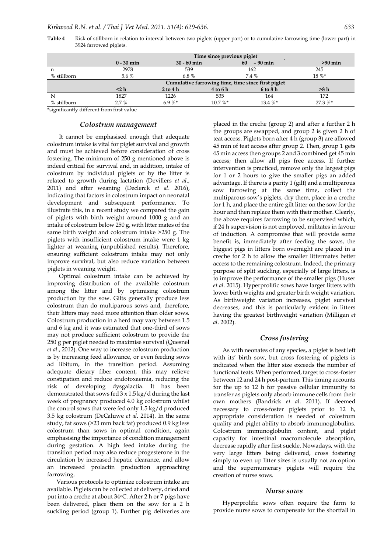**Time since previous piglet 0 - 30 min 30 - 60 min 60 – 90 min >90 min** n 2978 539 162 245 % stillborn  $5.6 \%$  6.8 % 7.4 % 7.4 % 18 % \* **Cumulative farrowing time, time since first piglet <2 h 2 to 4 h 4 to 6 h 6 to 8 h >8 h** N 1827 1226 535 164 172 % stillborn 2.7 % 6.9 %\* 10.7 %\* 13.4 %\* 27.3 %\*

**Table 4** Risk of stillborn in relation to interval between two piglets (upper part) or to cumulative farrowing time (lower part) in 3924 farrowed piglets.

\*significantly different from first value

# *Colostrum management*

It cannot be emphasised enough that adequate colostrum intake is vital for piglet survival and growth and must be achieved before consideration of cross fostering. The minimum of 250 g mentioned above is indeed critical for survival and, in addition, intake of colostrum by individual piglets or by the litter is related to growth during lactation (Devillers *et al*., 2011) and after weaning (Declerck *et al*. 2016), indicating that factors in colostrum impact on neonatal development and subsequent performance. To illustrate this, in a recent study we compared the gain of piglets with birth weight around 1000 g and an intake of colostrum below 250 g, with litter mates of the same birth weight and colostrum intake >250 g. The piglets with insufficient colostrum intake were 1 kg lighter at weaning (unpublished results). Therefore, ensuring sufficient colostrum intake may not only improve survival, but also reduce variation between piglets in weaning weight.

Optimal colostrum intake can be achieved by improving distribution of the available colostrum among the litter and by optimising colostrum production by the sow. Gilts generally produce less colostrum than do multiparous sows and, therefore, their litters may need more attention than older sows. Colostrum production in a herd may vary between 1.5 and 6 kg and it was estimated that one-third of sows may not produce sufficient colostrum to provide the 250 g per piglet needed to maximise survival (Quesnel *et al*., 2012). One way to increase colostrum production is by increasing feed allowance, or even feeding sows ad libitum, in the transition period. Assuming adequate dietary fiber content, this may relieve constipation and reduce endotoxaemia, reducing the risk of developing dysgalactia. It has been demonstrated that sows fed  $3 \times 1.5$  kg/d during the last week of pregnancy produced 4.0 kg colostrum whilst the control sows that were fed only 1.5 kg/d produced 3.5 kg colostrum (DeCaluwe *et al*. 2014). In the same study, fat sows (>23 mm back fat) produced 0.9 kg less colostrum than sows in optimal condition, again emphasising the importance of condition management during gestation. A high feed intake during the transition period may also reduce progesterone in the circulation by increased hepatic clearance, and allow an increased prolactin production approaching farrowing.

Various protocols to optimize colostrum intake are available. Piglets can be collected at delivery, dried and put into a creche at about 34oC. After 2 h or 7 pigs have been delivered, place them on the sow for a 2 h suckling period (group 1). Further pig deliveries are

placed in the creche (group 2) and after a further 2 h the groups are swapped, and group 2 is given 2 h of teat access. Piglets born after 4 h (group 3) are allowed 45 min of teat access after group 2. Then, group 1 gets 45 min access then groups 2 and 3 combined get 45 min access; then allow all pigs free access. If further intervention is practiced, remove only the largest pigs for 1 or 2 hours to give the smaller pigs an added advantage. If there is a parity 1 (gilt) and a multiparous sow farrowing at the same time, collect the multiparous sow's piglets, dry them, place in a creche for 1 h, and place the entire gilt litter on the sow for the hour and then replace them with their mother. Clearly, the above requires farrowing to be supervised which, if 24 h supervision is not employed, militates in favour of induction. A compromise that will provide some benefit is, immediately after feeding the sows, the biggest pigs in litters born overnight are placed in a creche for 2 h to allow the smaller littermates better access to the remaining colostrum. Indeed, the primary purpose of split suckling, especially of large litters, is to improve the performance of the smaller pigs (Huser *et al*. 2015). Hyperprolific sows have larger litters with lower birth weights and greater birth weight variation. As birthweight variation increases, piglet survival decreases, and this is particularly evident in litters having the greatest birthweight variation (Milligan *et al*. 2002).

### *Cross fostering*

As with neonates of any species, a piglet is best left with its' birth sow, but cross fostering of piglets is indicated when the litter size exceeds the number of functional teats. When performed, target to cross-foster between 12 and 24 h post-partum. This timing accounts for the up to 12 h for passive cellular immunity to transfer as piglets only absorb immune cells from their own mothers (Bandrick *et al*. 2011). If deemed necessary to cross-foster piglets prior to 12 h, appropriate consideration is needed of colostrum quality and piglet ability to absorb immunoglobulins. Colostrum immunoglobulin content, and piglet capacity for intestinal macromolecule absorption, decrease rapidly after first suckle. Nowadays, with the very large litters being delivered, cross fostering simply to even up litter sizes is usually not an option and the supernumerary piglets will require the creation of nurse sows.

#### *Nurse sows*

Hyperprolific sows often require the farm to provide nurse sows to compensate for the shortfall in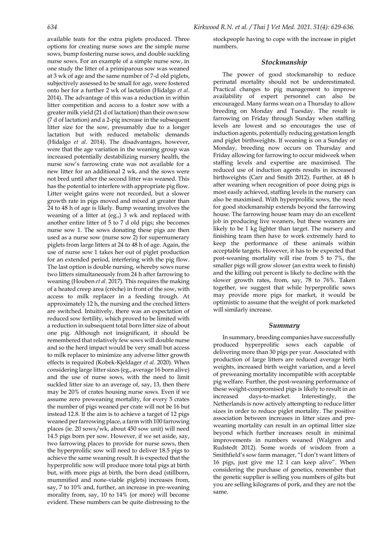available teats for the extra piglets produced. Three options for creating nurse sows are the simple nurse sows, bump fostering nurse sows, and double suckling nurse sows. For an example of a simple nurse sow, in one study the litter of a primiparous sow was weaned at 3 wk of age and the same number of 7-d old piglets, subjectively assessed to be small for age, were fostered onto her for a further 2 wk of lactation (Hidalgo *et al*. 2014). The advantage of this was a reduction in within litter competition and access to a foster sow with a greater milk yield (21 d of lactation) than their own sow (7 d of lactation) and a 2-pig increase in the subsequent litter size for the sow, presumably due to a longer lactation but with reduced metabolic demands (Hidalgo *et al*. 2014). The disadvantages, however, were that the age variation in the weaning group was increased potentially destabilizing nursery health, the nurse sow's farrowing crate was not available for a new litter for an additional 2 wk, and the sows were not bred until after the second litter was weaned. This has the potential to interfere with appropriate pig flow. Litter weight gains were not recorded, but a slower growth rate in pigs moved and mixed at greater than 24 to 48 h of age is likely. Bump weaning involves the weaning of a litter at (eg.,) 3 wk and replaced with another entire litter of 5 to 7 d old pigs; she becomes nurse sow 1. The sows donating these pigs are then used as a nurse sow (nurse sow 2) for supernumerary piglets from large litters at 24 to 48 h of age. Again, the use of nurse sow 1 takes her out of piglet production for an extended period, interfering with the pig flow. The last option is double nursing, whereby sows nurse two litters simultaneously from 24 h after farrowing to weaning (Houben *et al*. 2017). This requires the making of a heated creep area (crèche) in front of the sow, with access to milk replacer in a feeding trough. At approximately 12 h, the nursing and the creched litters are switched. Intuitively, there was an expectation of reduced sow fertility, which proved to be limited with a reduction in subsequent total born litter size of about one pig. Although not insignificant, it should be remembered that relatively few sows will double nurse and so the herd impact would be very small but access to milk replacer to minimize any adverse litter growth effects is required (Kobek-Kjeldager *et al*. 2020). When considering large litter sizes (eg., average 16 born alive) and the use of nurse sows, with the need to limit suckled litter size to an average of, say, 13, then there may be 20% of crates housing nurse sows. Even if we assume zero preweaning mortality, for every 5 crates the number of pigs weaned per crate will not be 16 but instead 12.8. If the aim is to achieve a target of 12 pigs weaned per farrowing place, a farm with 100 farrowing places (ie. 20 sows/wk, about 450 sow unit) will need 14.5 pigs born per sow. However, if we set aside, say, two farrowing places to provide for nurse sows, then the hyperprolific sow will need to deliver 18.5 pigs to achieve the same weaning result. It is expected that the hyperprolific sow will produce more total pigs at birth but, with more pigs at birth, the born dead (stillborn, mummified and none-viable piglets) increases from, say, 7 to 10% and, further, an increase in pre-weaning morality from, say, 10 to 14% (or more) will become evident. These numbers can be quite distressing to the

stockpeople having to cope with the increase in piglet numbers.

# *Stockmanship*

The power of good stockmanship to reduce perinatal mortality should not be underestimated. Practical changes to pig management to improve availability of expert personnel can also be encouraged. Many farms wean on a Thursday to allow breeding on Monday and Tuesday. The result is farrowing on Friday through Sunday when staffing levels are lowest and so encourages the use of induction agents, potentially reducing gestation length and piglet birthweights. If weaning is on a Sunday or Monday, breeding now occurs on Thursday and Friday allowing for farrowing to occur midweek when staffing levels and expertise are maximised. The reduced use of induction agents results in increased birthweights (Carr and Smith 2012). Further, at 48 h after weaning when recognition of poor doing pigs is most easily achieved, staffing levels in the nursery can also be maximised. With hyperprolific sows, the need for good stockmanship extends beyond the farrowing house. The farrowing house team may do an excellent job in producing live weaners, but these weaners are likely to be 1 kg lighter than target. The nursery and finishing team then have to work extremely hard to keep the performance of these animals within acceptable targets. However, it has to be expected that post-weaning mortality will rise from 5 to 7%, the smaller pigs will grow slower (an extra week to finish) and the killing out percent is likely to decline with the slower growth rates, from, say, 78 to 76%. Taken together, we suggest that while hyperprolific sows may provide more pigs for market, it would be optimistic to assume that the weight of pork marketed will similarly increase.

#### *Summary*

In summary, breeding companies have successfully produced hyperprolific sows each capable of delivering more than 30 pigs per year. Associated with production of large litters are reduced average birth weights, increased birth weight variation, and a level of preweaning mortality incompatible with acceptable pig welfare. Further, the post-weaning performance of these weight-compromised pigs is likely to result in an increased days-to-market. Interestingly, the Netherlands is now actively attempting to reduce litter sizes in order to reduce piglet mortality. The positive association between increases in litter sizes and preweaning mortality can result in an optimal litter size beyond which further increases result in minimal improvements in numbers weaned (Walgren and Rudstedt 2012). Some words of wisdom from a Smithfield's sow farm manager, "I don't want litters of 16 pigs, just give me 12 I can keep alive". When considering the purchase of genetics, remember that the genetic supplier is selling you numbers of gilts but you are selling kilograms of pork, and they are not the same.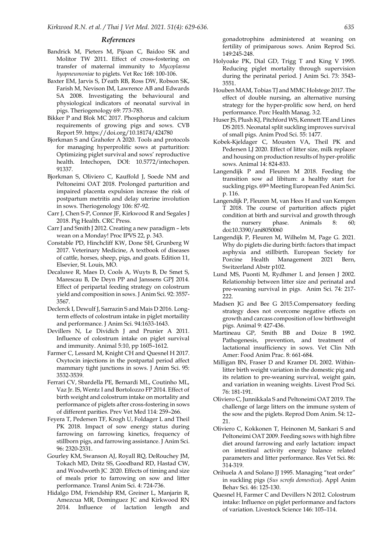#### *References*

- Bandrick M, Pieters M, Pijoan C, Baidoo SK and Molitor TW 2011. Effect of cross-fostering on transfer of maternal immunity to *Mycoplasma hyopneumoniae* to piglets. Vet Rec 168: 100-106.
- Baxter EM, Jarvis S, D'eath RB, Ross DW, Robson SK, Farish M, Nevison IM, Lawrence AB and Edwards SA 2008. Investigating the behavioural and physiological indicators of neonatal survival in pigs. Theriogenology 69: 773-783.
- Bikker P and Blok MC 2017. Phosphorus and calcium requirements of growing pigs and sows. CVB Report 59[. https://doi.org/10.18174/424780](https://doi.org/10.18174/424780)
- Bjorkman S and Grahofer A 2020. Tools and protocols for managing hyperprolific sows at parturition: Optimizing piglet survival and sows' reproductive health. Intechopen, DOI: 10.5772/intechopen. 91337.
- Bjorkman S, Oliviero C, Kauffold J, Soede NM and Peltoneimi OAT 2018. Prolonged parturition and impaired placenta expulsion increase the risk of postpartum metritis and delay uterine involution in sows. Theriogenology 106: 87-92.
- Carr J, Chen S-P, Connor JF, Kirkwood R and Segales J 2018. Pig Health. CRC Press.
- Carr J and Smith J 2012. Creating a new paradigm lets wean on a Monday! Proc IPVS 22, p. 343.
- Constable PD, Hinchcliff KW, Done SH, Grunberg W 2017. Veterinary Medicine, A textbook of diseases of cattle, horses, sheep, pigs, and goats. Edition 11, Elsevier, St. Louis, MO.
- Decaluwe R, Maes D, Cools A, Wuyts B, De Smet S, Marescau B, De Deyn PP and Janssens GPJ 2014. Effect of peripartal feeding strategy on colostrum yield and composition in sows. J Anim Sci. 92: 3557- 3567.
- Declerck I, Dewulf J, Sarrazin S and Mais D 2016. Longterm effects of colostrum intake in piglet mortaility and performance. J Anim Sci. 94:1633-1643.
- Devillers N, Le Dividich J and Prunier A 2011. Influence of colostrum intake on piglet survival and immunity. Animal 5:10, pp 1605–1612.
- Farmer C, Lessard M, Knight CH and Quesnel H 2017. Oxytocin injections in the postpartal period affect mammary tight junctions in sows. J Anim Sci. 95: 3532-3539.
- Ferrari CV, Sbardella PE, Bernardi ML, Coutinho ML, Vaz Jr. IS, Wentz I and Bortolozzo FP 2014. Effect of birth weight and colostrum intake on mortality and performance of piglets after cross-fostering in sows of different parities. Prev Vet Med 114: 259–266.
- Feyera T, Pedersen TF, Krogh U, Foldager L and Theil PK 2018. Impact of sow energy status during farrowing on farrowing kinetics, frequency of stillborn pigs, and farrowing assistance. J Anim Sci. 96: 2320-2331.
- Gourley KM, Swanson AJ, Royall RQ, DeRouchey JM, Tokach MD, Dritz SS, Goodband RD, Hastad CW, and Woodworth JC 2020. Effects of timing and size of meals prior to farrowing on sow and litter performance. Transl Anim Sci. 4: 724-736.
- Hidalgo DM, Friendship RM, Greiner L, Manjarin R, Amezcua MR, Dominguez JC and Kirkwood RN 2014. Influence of lactation length and

gonadotrophins administered at weaning on fertility of primiparous sows. Anim Reprod Sci. 149:245-248.

- Holyoake PK, Dial GD, Trigg T and King V 1995. Reducing piglet mortality through supervision during the perinatal period. J Anim Sci. 73: 3543- 3551.
- Houben MAM, Tobias TJ and MMC Holstege 2017. The effect of double nursing, an alternative nursing strategy for the hyper-prolific sow herd, on herd performance. Porc Health Manag. 3:2.
- Huser JS, Plush KJ, Pitchford WS, Kennett TE and Lines DS 2015. Neonatal split suckling improves survival of small pigs. Anim Prod Sci. 55: 1477.
- Kobek-Kjeldager C, Mousten VA, Theil PK and Pedersen LJ 2020. Effect of litter size, milk replacer and housing on production results of hyper-prolific sows. Animal 14: 824-833.
- Langendijk P and Fleuren M 2018. Feeding the transition sow ad libitum: a healthy start for suckling pigs. 69th Meeting European Fed Anim Sci. p. 116.
- Langendijk P, Fleuren M, van Hees H and van Kempen T 2018. The course of parturition affects piglet condition at birth and survival and growth through the nursery phase. Animals 8: 60; doi:10.3390/ani8050060
- Langendijk P, Fleuren M, Wilhelm M, Page G. 2021. Why do piglets die during birth: factors that impact asphyxia and stillbirth. European Society for Porcine Health Management 2021 Bern, Switzerland Abstr p102.
- Lund MS, Puonti M, Rydhmer L and Jensen J 2002. Relationship between litter size and perinatal and pre-weaning survival in pigs. Anim Sci. 74: 217- 222.
- Madsen JG and Bee G 2015.Compensatory feeding strategy does not overcome negative effects on growth and carcass composition of low birthweight pigs. Animal 9: 427-436.
- Martineau GP, Smith BB and Doize B 1992. Pathogenesis, prevention, and treatment of lactational insufficiency in sows. Vet Clin Nth Amer: Food Anim Prac. 8: 661-684.
- Milligan BN, Fraser D and Kramer DL 2002. Withinlitter birth weight variation in the domestic pig and its relation to pre-weaning survival, weight gain, and variation in weaning weights. Livest Prod Sci. 76: 181-191.
- Oliviero C, Junnikkala S and Peltoneimi OAT 2019. The challenge of large litters on the immune system of the sow and the piglets. Reprod Dom Anim. 54: 12– 21.
- Oliviero C, Kokkonen T, Heinonen M, Sankari S and Peltoneimi OAT 2009. Feeding sows with high fibre diet around farrowing and early lactation: impact on intestinal activity energy balance related parameters and litter performance. Res Vet Sci. 86: 314-319.
- Orihuela A and Solano JJ 1995. Managing "teat order" in suckling pigs (*Sus scrofa domestica*). Appl Anim Behav Sci. 46: 125-130.
- Quesnel H, Farmer C and Devillers N 2012. Colostrum intake: Influence on piglet performance and factors of variation. Livestock Science 146: 105–114.